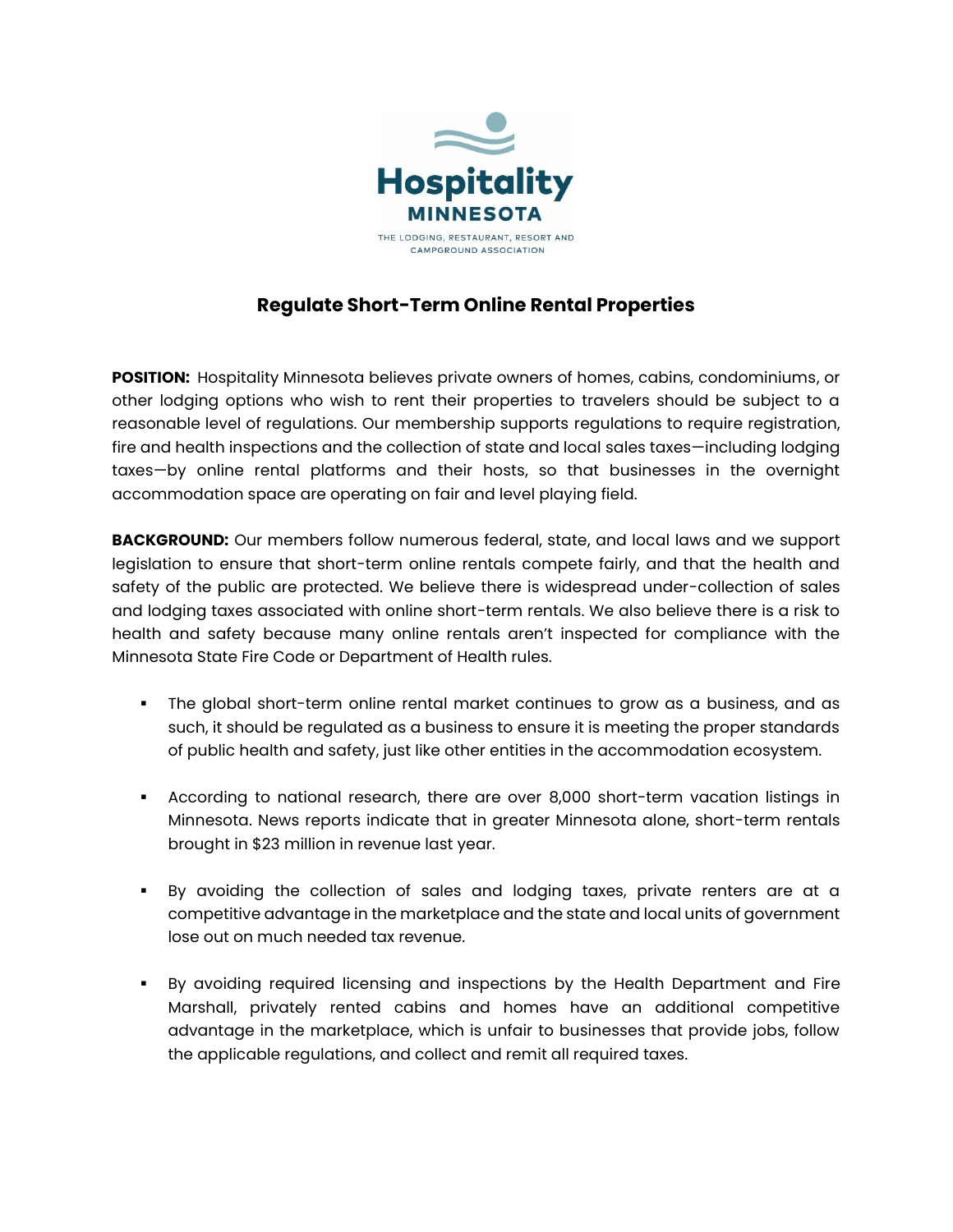

## **Regulate Short-Term Online Rental Properties**

**POSITION:** Hospitality Minnesota believes private owners of homes, cabins, condominiums, or other lodging options who wish to rent their properties to travelers should be subject to a reasonable level of regulations. Our membership supports regulations to require registration, fire and health inspections and the collection of state and local sales taxes—including lodging taxes—by online rental platforms and their hosts, so that businesses in the overnight accommodation space are operating on fair and level playing field.

**BACKGROUND:** Our members follow numerous federal, state, and local laws and we support legislation to ensure that short-term online rentals compete fairly, and that the health and safety of the public are protected. We believe there is widespread under-collection of sales and lodging taxes associated with online short-term rentals. We also believe there is a risk to health and safety because many online rentals aren't inspected for compliance with the Minnesota State Fire Code or Department of Health rules.

- The global short-term online rental market continues to grow as a business, and as such, it should be regulated as a business to ensure it is meeting the proper standards of public health and safety, just like other entities in the accommodation ecosystem.
- According to national research, there are over 8,000 short-term vacation listings in Minnesota. News reports indicate that in greater Minnesota alone, short-term rentals brought in \$23 million in revenue last year.
- By avoiding the collection of sales and lodging taxes, private renters are at a competitive advantage in the marketplace and the state and local units of government lose out on much needed tax revenue.
- By avoiding required licensing and inspections by the Health Department and Fire Marshall, privately rented cabins and homes have an additional competitive advantage in the marketplace, which is unfair to businesses that provide jobs, follow the applicable regulations, and collect and remit all required taxes.